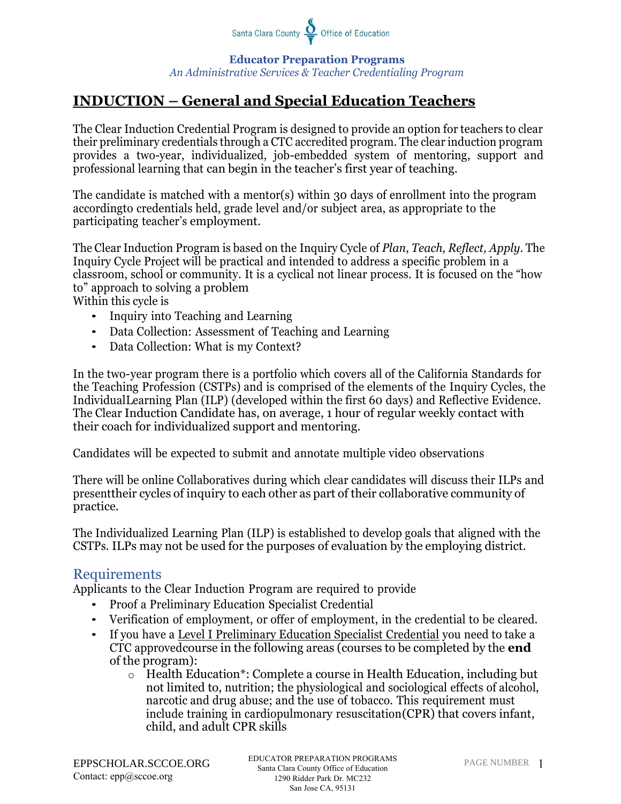

**Educator Preparation Programs**  *An Administrative Services & Teacher Credentialing Program*

# **INDUCTION – General and Special Education Teachers**

The Clear Induction Credential Program is designed to provide an option for teachers to clear their preliminary credentials through a CTC accredited program. The clear induction program provides a two-year, individualized, job-embedded system of mentoring, support and professional learning that can begin in the teacher's first year of teaching.

The candidate is matched with a mentor(s) within 30 days of enrollment into the program accordingto credentials held, grade level and/or subject area, as appropriate to the participating teacher's employment.

The Clear Induction Program is based on the Inquiry Cycle of *Plan, Teach, Reflect, Apply*. The Inquiry Cycle Project will be practical and intended to address a specific problem in a classroom, school or community. It is a cyclical not linear process. It is focused on the "how to" approach to solving a problem

Within this cycle is

- Inquiry into Teaching and Learning
- Data Collection: Assessment of Teaching and Learning
- Data Collection: What is my Context?

In the two-year program there is a portfolio which covers all of the California Standards for the Teaching Profession (CSTPs) and is comprised of the elements of the Inquiry Cycles, the IndividualLearning Plan (ILP) (developed within the first 60 days) and Reflective Evidence. The Clear Induction Candidate has, on average, 1 hour of regular weekly contact with their coach for individualized support and mentoring.

Candidates will be expected to submit and annotate multiple video observations

There will be online Collaboratives during which clear candidates will discuss their ILPs and presenttheir cycles of inquiry to each other as part of their collaborative community of practice.

The Individualized Learning Plan (ILP) is established to develop goals that aligned with the CSTPs. ILPs may not be used for the purposes of evaluation by the employing district.

#### Requirements

Applicants to the Clear Induction Program are required to provide

- Proof a Preliminary Education Specialist Credential
- Verification of employment, or offer of employment, in the credential to be cleared.
- If you have a Level I Preliminary Education Specialist Credential you need to take a CTC approvedcourse in the following areas (courses to be completed by the **end** of the program):
	- o Health Education\*: Complete a course in Health Education, including but not limited to, nutrition; the physiological and sociological effects of alcohol, narcotic and drug abuse; and the use of tobacco. This requirement must include training in cardiopulmonary resuscitation(CPR) that covers infant, child, and adult CPR skills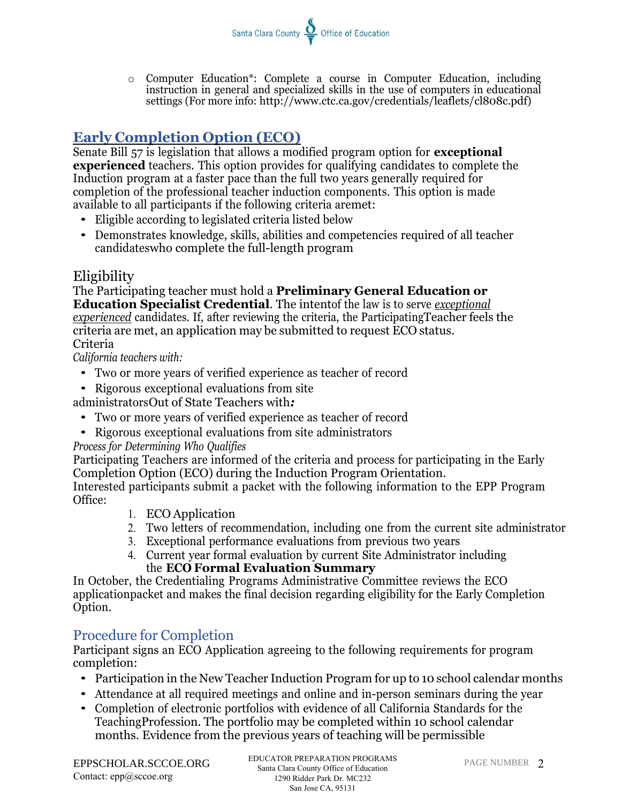o Computer Education\*: Complete a course in Computer Education, including instruction in general and specialized skills in the use of computers in educational settings (For more info: [http://www.ctc.ca.gov/credentials/leaflets/cl808c.pdf\)](http://www.ctc.ca.gov/credentials/leaflets/cl808c.pdf))

Santa Clara County  $\sum_{n=1}^{\infty}$  Office of Education

# **Early Completion Option (ECO)**

Senate Bill 57 is legislation that allows a modified program option for **exceptional experienced** teachers. This option provides for qualifying candidates to complete the Induction program at a faster pace than the full two years generally required for completion of the professional teacher induction components. This option is made available to all participants if the following criteria aremet:

- Eligible according to legislated criteria listed below
- Demonstrates knowledge, skills, abilities and competencies required of all teacher candidateswho complete the full-length program

## Eligibility

The Participating teacher must hold a **Preliminary General Education or Education Specialist Credential**. The intentof the law is to serve *exceptional experienced* candidates. If, after reviewing the criteria, the ParticipatingTeacher feels the criteria are met, an application may be submitted to request ECO status. Criteria

*California teachers with:*

- Two or more years of verified experience as teacher of record
- Rigorous exceptional evaluations from site

administratorsOut of State Teachers with*:*

- Two or more years of verified experience as teacher of record
- Rigorous exceptional evaluations from site administrators

### *Process for Determining Who Qualifies*

Participating Teachers are informed of the criteria and process for participating in the Early Completion Option (ECO) during the Induction Program Orientation.

Interested participants submit a packet with the following information to the EPP Program Office:

- 1. ECO Application
- 2. Two letters of recommendation, including one from the current site administrator
- 3. Exceptional performance evaluations from previous two years
- 4. Current year formal evaluation by current Site Administrator including the **ECO Formal Evaluation Summary**

In October, the Credentialing Programs Administrative Committee reviews the ECO applicationpacket and makes the final decision regarding eligibility for the Early Completion Option.

## Procedure for Completion

Participant signs an ECO Application agreeing to the following requirements for program completion:

- Participation in the New Teacher Induction Program for up to 10 school calendar months
- Attendance at all required meetings and online and in-person seminars during the year
- Completion of electronic portfolios with evidence of all California Standards for the TeachingProfession. The portfolio may be completed within 10 school calendar months. Evidence from the previous years of teaching will be permissible